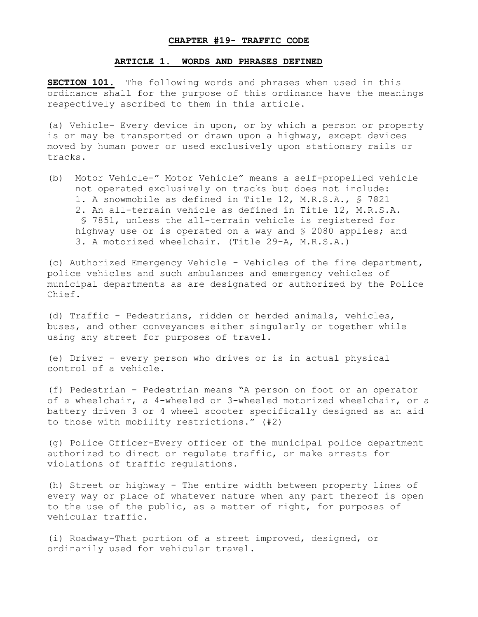## **CHAPTER #19- TRAFFIC CODE**

### **ARTICLE 1. WORDS AND PHRASES DEFINED**

**SECTION 101.** The following words and phrases when used in this ordinance shall for the purpose of this ordinance have the meanings respectively ascribed to them in this article.

(a) Vehicle- Every device in upon, or by which a person or property is or may be transported or drawn upon a highway, except devices moved by human power or used exclusively upon stationary rails or tracks.

(b) Motor Vehicle-" Motor Vehicle" means a self-propelled vehicle not operated exclusively on tracks but does not include: 1. A snowmobile as defined in Title 12, M.R.S.A., § 7821 2. An all-terrain vehicle as defined in Title 12, M.R.S.A. § 7851, unless the all-terrain vehicle is registered for highway use or is operated on a way and § 2080 applies; and 3. A motorized wheelchair. (Title 29-A, M.R.S.A.)

(c) Authorized Emergency Vehicle - Vehicles of the fire department, police vehicles and such ambulances and emergency vehicles of municipal departments as are designated or authorized by the Police Chief.

(d) Traffic - Pedestrians, ridden or herded animals, vehicles, buses, and other conveyances either singularly or together while using any street for purposes of travel.

(e) Driver - every person who drives or is in actual physical control of a vehicle.

(f) Pedestrian - Pedestrian means "A person on foot or an operator of a wheelchair, a 4-wheeled or 3-wheeled motorized wheelchair, or a battery driven 3 or 4 wheel scooter specifically designed as an aid to those with mobility restrictions." (#2)

(g) Police Officer-Every officer of the municipal police department authorized to direct or regulate traffic, or make arrests for violations of traffic regulations.

(h) Street or highway - The entire width between property lines of every way or place of whatever nature when any part thereof is open to the use of the public, as a matter of right, for purposes of vehicular traffic.

(i) Roadway-That portion of a street improved, designed, or ordinarily used for vehicular travel.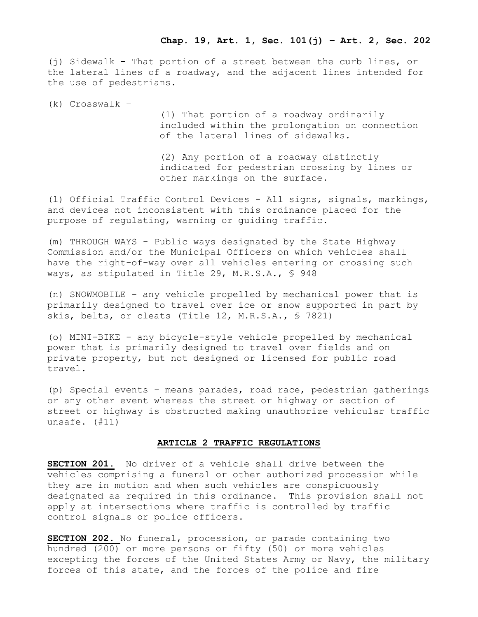(j) Sidewalk - That portion of a street between the curb lines, or the lateral lines of a roadway, and the adjacent lines intended for the use of pedestrians.

(k) Crosswalk –

(1) That portion of a roadway ordinarily included within the prolongation on connection of the lateral lines of sidewalks.

(2) Any portion of a roadway distinctly indicated for pedestrian crossing by lines or other markings on the surface.

(l) Official Traffic Control Devices - All signs, signals, markings, and devices not inconsistent with this ordinance placed for the purpose of regulating, warning or guiding traffic.

(m) THROUGH WAYS - Public ways designated by the State Highway Commission and/or the Municipal Officers on which vehicles shall have the right-of-way over all vehicles entering or crossing such ways, as stipulated in Title 29, M.R.S.A., § 948

(n) SNOWMOBILE - any vehicle propelled by mechanical power that is primarily designed to travel over ice or snow supported in part by skis, belts, or cleats (Title 12, M.R.S.A., § 7821)

(o) MINI-BIKE - any bicycle-style vehicle propelled by mechanical power that is primarily designed to travel over fields and on private property, but not designed or licensed for public road travel.

(p) Special events – means parades, road race, pedestrian gatherings or any other event whereas the street or highway or section of street or highway is obstructed making unauthorize vehicular traffic unsafe. (#11)

## **ARTICLE 2 TRAFFIC REGULATIONS**

**SECTION 201.** No driver of a vehicle shall drive between the vehicles comprising a funeral or other authorized procession while they are in motion and when such vehicles are conspicuously designated as required in this ordinance. This provision shall not apply at intersections where traffic is controlled by traffic control signals or police officers.

**SECTION 202.** No funeral, procession, or parade containing two hundred (200) or more persons or fifty (50) or more vehicles excepting the forces of the United States Army or Navy, the military forces of this state, and the forces of the police and fire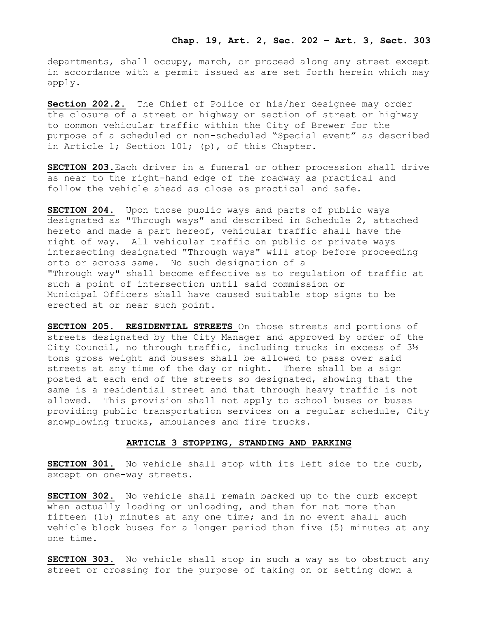departments, shall occupy, march, or proceed along any street except in accordance with a permit issued as are set forth herein which may apply.

**Section 202.2.** The Chief of Police or his/her designee may order the closure of a street or highway or section of street or highway to common vehicular traffic within the City of Brewer for the purpose of a scheduled or non-scheduled "Special event" as described in Article 1; Section 101; (p), of this Chapter.

**SECTION 203.**Each driver in a funeral or other procession shall drive as near to the right-hand edge of the roadway as practical and follow the vehicle ahead as close as practical and safe.

**SECTION 204.** Upon those public ways and parts of public ways designated as "Through ways" and described in Schedule 2, attached hereto and made a part hereof, vehicular traffic shall have the right of way. All vehicular traffic on public or private ways intersecting designated "Through ways" will stop before proceeding onto or across same. No such designation of a "Through way" shall become effective as to regulation of traffic at such a point of intersection until said commission or Municipal Officers shall have caused suitable stop signs to be erected at or near such point.

**SECTION 205. RESIDENTIAL STREETS** On those streets and portions of streets designated by the City Manager and approved by order of the City Council, no through traffic, including trucks in excess of 3½ tons gross weight and busses shall be allowed to pass over said streets at any time of the day or night. There shall be a sign posted at each end of the streets so designated, showing that the same is a residential street and that through heavy traffic is not allowed. This provision shall not apply to school buses or buses providing public transportation services on a regular schedule, City snowplowing trucks, ambulances and fire trucks.

### **ARTICLE 3 STOPPING, STANDING AND PARKING**

**SECTION 301.** No vehicle shall stop with its left side to the curb, except on one-way streets.

**SECTION 302.** No vehicle shall remain backed up to the curb except when actually loading or unloading, and then for not more than fifteen (15) minutes at any one time; and in no event shall such vehicle block buses for a longer period than five (5) minutes at any one time.

**SECTION 303.** No vehicle shall stop in such a way as to obstruct any street or crossing for the purpose of taking on or setting down a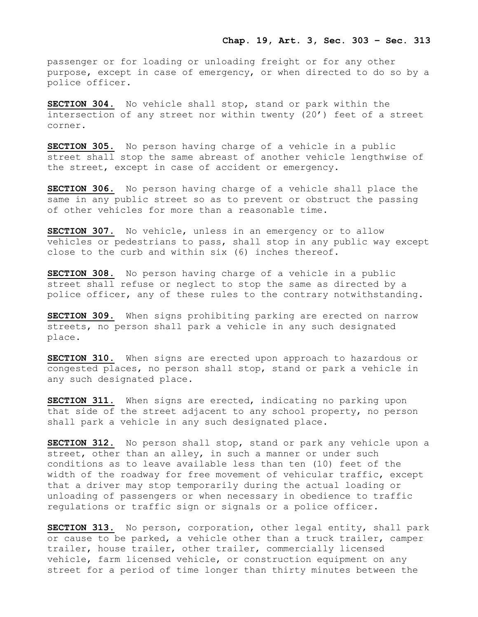passenger or for loading or unloading freight or for any other purpose, except in case of emergency, or when directed to do so by a police officer.

**SECTION 304.** No vehicle shall stop, stand or park within the intersection of any street nor within twenty (20') feet of a street corner.

**SECTION 305.** No person having charge of a vehicle in a public street shall stop the same abreast of another vehicle lengthwise of the street, except in case of accident or emergency.

**SECTION 306.** No person having charge of a vehicle shall place the same in any public street so as to prevent or obstruct the passing of other vehicles for more than a reasonable time.

**SECTION 307.** No vehicle, unless in an emergency or to allow vehicles or pedestrians to pass, shall stop in any public way except close to the curb and within six (6) inches thereof.

**SECTION 308.** No person having charge of a vehicle in a public street shall refuse or neglect to stop the same as directed by a police officer, any of these rules to the contrary notwithstanding.

**SECTION 309.** When signs prohibiting parking are erected on narrow streets, no person shall park a vehicle in any such designated place.

**SECTION 310.** When signs are erected upon approach to hazardous or congested places, no person shall stop, stand or park a vehicle in any such designated place.

**SECTION 311.** When signs are erected, indicating no parking upon that side of the street adjacent to any school property, no person shall park a vehicle in any such designated place.

**SECTION 312.** No person shall stop, stand or park any vehicle upon a street, other than an alley, in such a manner or under such conditions as to leave available less than ten (10) feet of the width of the roadway for free movement of vehicular traffic, except that a driver may stop temporarily during the actual loading or unloading of passengers or when necessary in obedience to traffic regulations or traffic sign or signals or a police officer.

**SECTION 313.** No person, corporation, other legal entity, shall park or cause to be parked, a vehicle other than a truck trailer, camper trailer, house trailer, other trailer, commercially licensed vehicle, farm licensed vehicle, or construction equipment on any street for a period of time longer than thirty minutes between the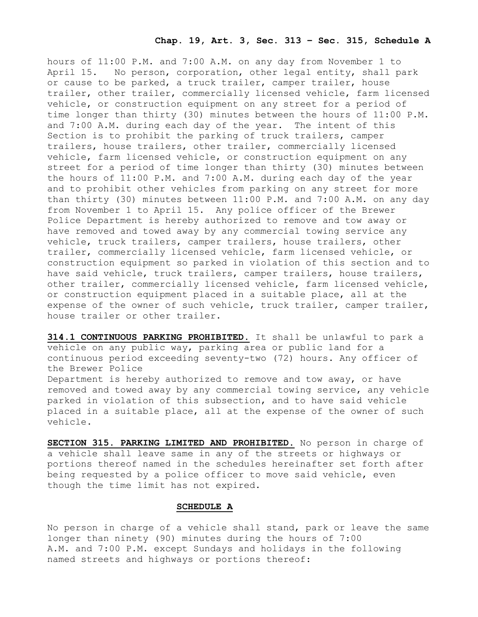## **Chap. 19, Art. 3, Sec. 313 – Sec. 315, Schedule A**

hours of 11:00 P.M. and 7:00 A.M. on any day from November 1 to April 15. No person, corporation, other legal entity, shall park or cause to be parked, a truck trailer, camper trailer, house trailer, other trailer, commercially licensed vehicle, farm licensed vehicle, or construction equipment on any street for a period of time longer than thirty (30) minutes between the hours of 11:00 P.M. and 7:00 A.M. during each day of the year. The intent of this Section is to prohibit the parking of truck trailers, camper trailers, house trailers, other trailer, commercially licensed vehicle, farm licensed vehicle, or construction equipment on any street for a period of time longer than thirty (30) minutes between the hours of 11:00 P.M. and 7:00 A.M. during each day of the year and to prohibit other vehicles from parking on any street for more than thirty (30) minutes between 11:00 P.M. and 7:00 A.M. on any day from November 1 to April 15. Any police officer of the Brewer Police Department is hereby authorized to remove and tow away or have removed and towed away by any commercial towing service any vehicle, truck trailers, camper trailers, house trailers, other trailer, commercially licensed vehicle, farm licensed vehicle, or construction equipment so parked in violation of this section and to have said vehicle, truck trailers, camper trailers, house trailers, other trailer, commercially licensed vehicle, farm licensed vehicle, or construction equipment placed in a suitable place, all at the expense of the owner of such vehicle, truck trailer, camper trailer, house trailer or other trailer.

**314.1 CONTINUOUS PARKING PROHIBITED.** It shall be unlawful to park a vehicle on any public way, parking area or public land for a continuous period exceeding seventy-two (72) hours. Any officer of the Brewer Police Department is hereby authorized to remove and tow away, or have removed and towed away by any commercial towing service, any vehicle parked in violation of this subsection, and to have said vehicle placed in a suitable place, all at the expense of the owner of such vehicle.

**SECTION 315. PARKING LIMITED AND PROHIBITED.** No person in charge of a vehicle shall leave same in any of the streets or highways or portions thereof named in the schedules hereinafter set forth after being requested by a police officer to move said vehicle, even though the time limit has not expired.

# **SCHEDULE A**

No person in charge of a vehicle shall stand, park or leave the same longer than ninety (90) minutes during the hours of 7:00 A.M. and 7:00 P.M. except Sundays and holidays in the following named streets and highways or portions thereof: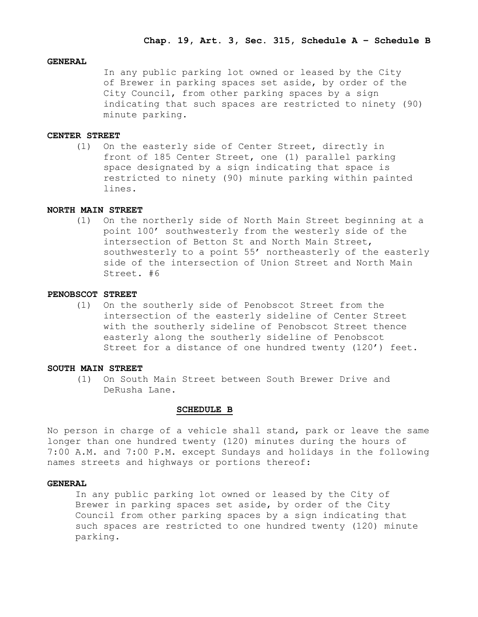## **GENERAL**

In any public parking lot owned or leased by the City of Brewer in parking spaces set aside, by order of the City Council, from other parking spaces by a sign indicating that such spaces are restricted to ninety (90) minute parking.

#### **CENTER STREET**

(1) On the easterly side of Center Street, directly in front of 185 Center Street, one (1) parallel parking space designated by a sign indicating that space is restricted to ninety (90) minute parking within painted lines.

## **NORTH MAIN STREET**

(1) On the northerly side of North Main Street beginning at a point 100' southwesterly from the westerly side of the intersection of Betton St and North Main Street, southwesterly to a point 55' northeasterly of the easterly side of the intersection of Union Street and North Main Street. #6

## **PENOBSCOT STREET**

 (1) On the southerly side of Penobscot Street from the intersection of the easterly sideline of Center Street with the southerly sideline of Penobscot Street thence easterly along the southerly sideline of Penobscot Street for a distance of one hundred twenty (120') feet.

## **SOUTH MAIN STREET**

(1) On South Main Street between South Brewer Drive and DeRusha Lane.

#### **SCHEDULE B**

No person in charge of a vehicle shall stand, park or leave the same longer than one hundred twenty (120) minutes during the hours of 7:00 A.M. and 7:00 P.M. except Sundays and holidays in the following names streets and highways or portions thereof:

## **GENERAL**

In any public parking lot owned or leased by the City of Brewer in parking spaces set aside, by order of the City Council from other parking spaces by a sign indicating that such spaces are restricted to one hundred twenty (120) minute parking.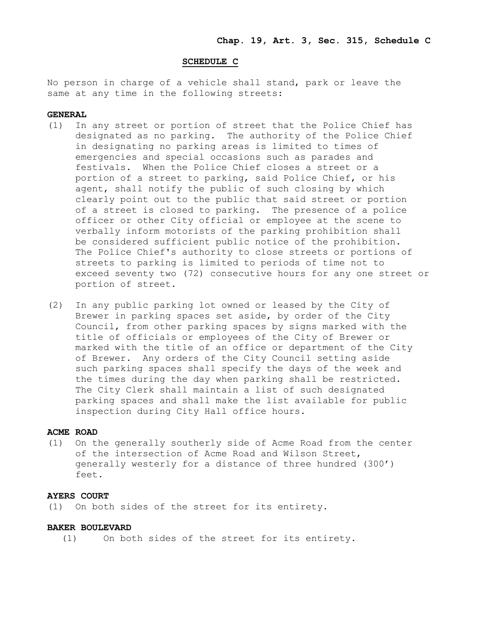### **SCHEDULE C**

No person in charge of a vehicle shall stand, park or leave the same at any time in the following streets:

## **GENERAL**

- (1) In any street or portion of street that the Police Chief has designated as no parking. The authority of the Police Chief in designating no parking areas is limited to times of emergencies and special occasions such as parades and festivals. When the Police Chief closes a street or a portion of a street to parking, said Police Chief, or his agent, shall notify the public of such closing by which clearly point out to the public that said street or portion of a street is closed to parking. The presence of a police officer or other City official or employee at the scene to verbally inform motorists of the parking prohibition shall be considered sufficient public notice of the prohibition. The Police Chief's authority to close streets or portions of streets to parking is limited to periods of time not to exceed seventy two (72) consecutive hours for any one street or portion of street.
- (2) In any public parking lot owned or leased by the City of Brewer in parking spaces set aside, by order of the City Council, from other parking spaces by signs marked with the title of officials or employees of the City of Brewer or marked with the title of an office or department of the City of Brewer. Any orders of the City Council setting aside such parking spaces shall specify the days of the week and the times during the day when parking shall be restricted. The City Clerk shall maintain a list of such designated parking spaces and shall make the list available for public inspection during City Hall office hours.

## **ACME ROAD**

(1) On the generally southerly side of Acme Road from the center of the intersection of Acme Road and Wilson Street, generally westerly for a distance of three hundred (300') feet.

### **AYERS COURT**

(1) On both sides of the street for its entirety.

### **BAKER BOULEVARD**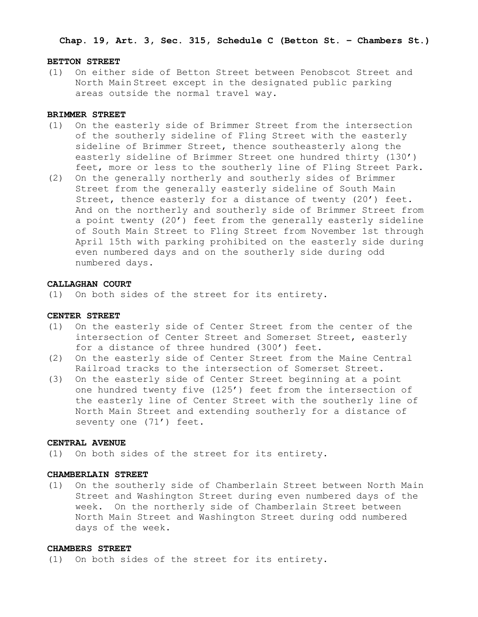## **Chap. 19, Art. 3, Sec. 315, Schedule C (Betton St. – Chambers St.)**

#### **BETTON STREET**

(1) On either side of Betton Street between Penobscot Street and North Main Street except in the designated public parking areas outside the normal travel way.

### **BRIMMER STREET**

- (1) On the easterly side of Brimmer Street from the intersection of the southerly sideline of Fling Street with the easterly sideline of Brimmer Street, thence southeasterly along the easterly sideline of Brimmer Street one hundred thirty (130') feet, more or less to the southerly line of Fling Street Park.
- (2) On the generally northerly and southerly sides of Brimmer Street from the generally easterly sideline of South Main Street, thence easterly for a distance of twenty (20') feet. And on the northerly and southerly side of Brimmer Street from a point twenty (20') feet from the generally easterly sideline of South Main Street to Fling Street from November 1st through April 15th with parking prohibited on the easterly side during even numbered days and on the southerly side during odd numbered days.

### **CALLAGHAN COURT**

(1) On both sides of the street for its entirety.

## **CENTER STREET**

- (1) On the easterly side of Center Street from the center of the intersection of Center Street and Somerset Street, easterly for a distance of three hundred (300') feet.
- (2) On the easterly side of Center Street from the Maine Central Railroad tracks to the intersection of Somerset Street.
- (3) On the easterly side of Center Street beginning at a point one hundred twenty five (125') feet from the intersection of the easterly line of Center Street with the southerly line of North Main Street and extending southerly for a distance of seventy one (71') feet.

#### **CENTRAL AVENUE**

(1) On both sides of the street for its entirety.

#### **CHAMBERLAIN STREET**

(1) On the southerly side of Chamberlain Street between North Main Street and Washington Street during even numbered days of the week. On the northerly side of Chamberlain Street between North Main Street and Washington Street during odd numbered days of the week.

### **CHAMBERS STREET**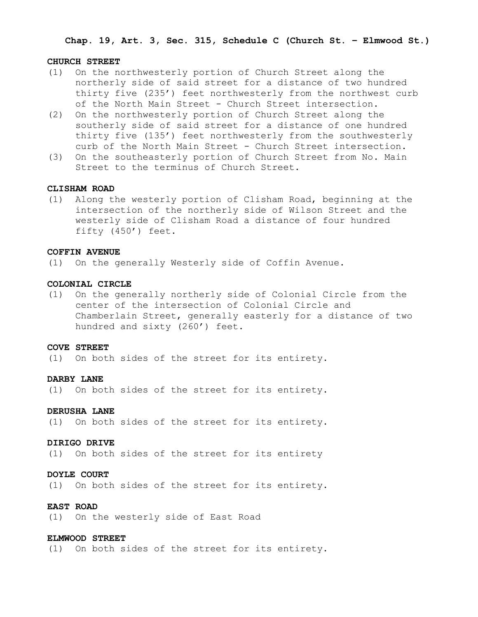**Chap. 19, Art. 3, Sec. 315, Schedule C (Church St. – Elmwood St.)**

#### **CHURCH STREET**

- (1) On the northwesterly portion of Church Street along the northerly side of said street for a distance of two hundred thirty five (235') feet northwesterly from the northwest curb of the North Main Street - Church Street intersection.
- (2) On the northwesterly portion of Church Street along the southerly side of said street for a distance of one hundred thirty five (135') feet northwesterly from the southwesterly curb of the North Main Street - Church Street intersection.
- (3) On the southeasterly portion of Church Street from No. Main Street to the terminus of Church Street.

## **CLISHAM ROAD**

(1) Along the westerly portion of Clisham Road, beginning at the intersection of the northerly side of Wilson Street and the westerly side of Clisham Road a distance of four hundred fifty (450') feet.

## **COFFIN AVENUE**

(1) On the generally Westerly side of Coffin Avenue.

### **COLONIAL CIRCLE**

(1) On the generally northerly side of Colonial Circle from the center of the intersection of Colonial Circle and Chamberlain Street, generally easterly for a distance of two hundred and sixty (260') feet.

#### **COVE STREET**

(1) On both sides of the street for its entirety.

### **DARBY LANE**

(1) On both sides of the street for its entirety.

### **DERUSHA LANE**

(1) On both sides of the street for its entirety.

### **DIRIGO DRIVE**

(1) On both sides of the street for its entirety

### **DOYLE COURT**

(1) On both sides of the street for its entirety.

## **EAST ROAD**

(1) On the westerly side of East Road

#### **ELMWOOD STREET**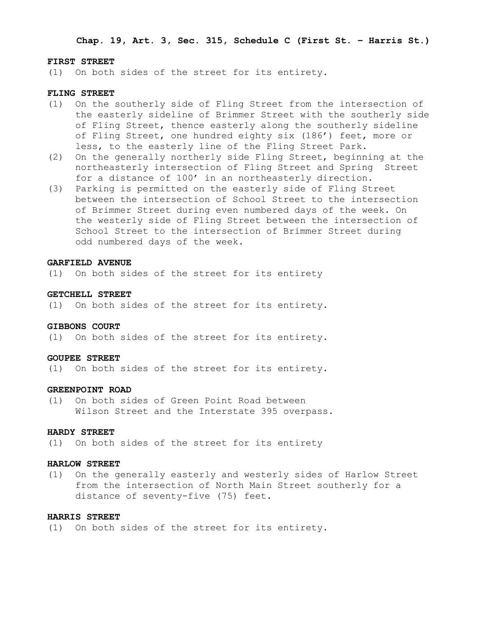**Chap. 19, Art. 3, Sec. 315, Schedule C (First St. – Harris St.)**

#### **FIRST STREET**

(1) On both sides of the street for its entirety.

### **FLING STREET**

- (1) On the southerly side of Fling Street from the intersection of the easterly sideline of Brimmer Street with the southerly side of Fling Street, thence easterly along the southerly sideline of Fling Street, one hundred eighty six (186') feet, more or less, to the easterly line of the Fling Street Park.
- (2) On the generally northerly side Fling Street, beginning at the northeasterly intersection of Fling Street and Spring Street for a distance of 100' in an northeasterly direction.
- (3) Parking is permitted on the easterly side of Fling Street between the intersection of School Street to the intersection of Brimmer Street during even numbered days of the week. On the westerly side of Fling Street between the intersection of School Street to the intersection of Brimmer Street during odd numbered days of the week.

### **GARFIELD AVENUE**

(1) On both sides of the street for its entirety

## **GETCHELL STREET**

(1) On both sides of the street for its entirety.

#### **GIBBONS COURT**

(1) On both sides of the street for its entirety.

#### **GOUPEE STREET**

(1) On both sides of the street for its entirety.

## **GREENPOINT ROAD**

(1) On both sides of Green Point Road between Wilson Street and the Interstate 395 overpass.

## **HARDY STREET**

(1) On both sides of the street for its entirety

### **HARLOW STREET**

(1) On the generally easterly and westerly sides of Harlow Street from the intersection of North Main Street southerly for a distance of seventy-five (75) feet.

## **HARRIS STREET**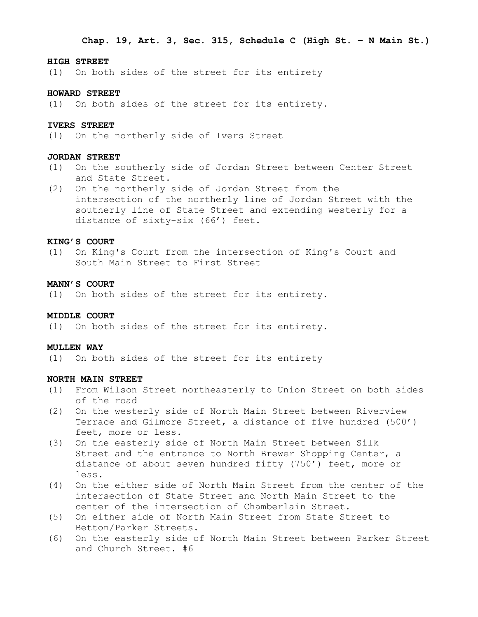#### **HIGH STREET**

(1) On both sides of the street for its entirety

## **HOWARD STREET**

(1) On both sides of the street for its entirety.

## **IVERS STREET**

(1) On the northerly side of Ivers Street

### **JORDAN STREET**

- (1) On the southerly side of Jordan Street between Center Street and State Street.
- (2) On the northerly side of Jordan Street from the intersection of the northerly line of Jordan Street with the southerly line of State Street and extending westerly for a distance of sixty-six (66') feet.

## **KING'S COURT**

(1) On King's Court from the intersection of King's Court and South Main Street to First Street

### **MANN'S COURT**

(1) On both sides of the street for its entirety.

## **MIDDLE COURT**

(1) On both sides of the street for its entirety.

#### **MULLEN WAY**

(1) On both sides of the street for its entirety

### **NORTH MAIN STREET**

- (1) From Wilson Street northeasterly to Union Street on both sides of the road
- (2) On the westerly side of North Main Street between Riverview Terrace and Gilmore Street, a distance of five hundred (500') feet, more or less.
- (3) On the easterly side of North Main Street between Silk Street and the entrance to North Brewer Shopping Center, a distance of about seven hundred fifty (750') feet, more or less.
- (4) On the either side of North Main Street from the center of the intersection of State Street and North Main Street to the center of the intersection of Chamberlain Street.
- (5) On either side of North Main Street from State Street to Betton/Parker Streets.
- (6) On the easterly side of North Main Street between Parker Street and Church Street. #6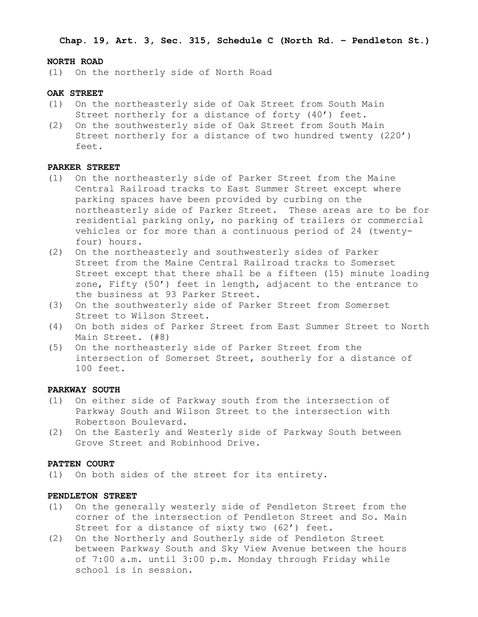**Chap. 19, Art. 3, Sec. 315, Schedule C (North Rd. – Pendleton St.)**

#### **NORTH ROAD**

(1) On the northerly side of North Road

## **OAK STREET**

- (1) On the northeasterly side of Oak Street from South Main Street northerly for a distance of forty (40') feet.
- (2) On the southwesterly side of Oak Street from South Main Street northerly for a distance of two hundred twenty (220') feet.

## **PARKER STREET**

- (1) On the northeasterly side of Parker Street from the Maine Central Railroad tracks to East Summer Street except where parking spaces have been provided by curbing on the northeasterly side of Parker Street. These areas are to be for residential parking only, no parking of trailers or commercial vehicles or for more than a continuous period of 24 (twentyfour) hours.
- (2) On the northeasterly and southwesterly sides of Parker Street from the Maine Central Railroad tracks to Somerset Street except that there shall be a fifteen (15) minute loading zone, Fifty (50') feet in length, adjacent to the entrance to the business at 93 Parker Street.
- (3) On the southwesterly side of Parker Street from Somerset Street to Wilson Street.
- (4) On both sides of Parker Street from East Summer Street to North Main Street. (#8)
- (5) On the northeasterly side of Parker Street from the intersection of Somerset Street, southerly for a distance of 100 feet.

# **PARKWAY SOUTH**

- (1) On either side of Parkway south from the intersection of Parkway South and Wilson Street to the intersection with Robertson Boulevard.
- (2) On the Easterly and Westerly side of Parkway South between Grove Street and Robinhood Drive.

## **PATTEN COURT**

(1) On both sides of the street for its entirety.

### **PENDLETON STREET**

- (1) On the generally westerly side of Pendleton Street from the corner of the intersection of Pendleton Street and So. Main Street for a distance of sixty two (62') feet.
- (2) On the Northerly and Southerly side of Pendleton Street between Parkway South and Sky View Avenue between the hours of 7:00 a.m. until 3:00 p.m. Monday through Friday while school is in session.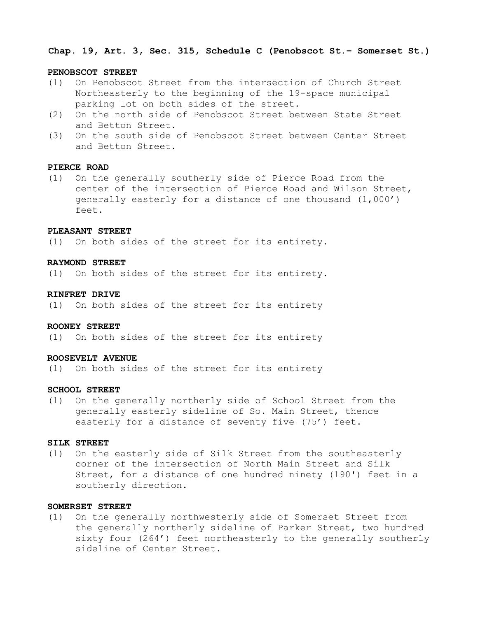**Chap. 19, Art. 3, Sec. 315, Schedule C (Penobscot St.– Somerset St.)**

### **PENOBSCOT STREET**

- (1) On Penobscot Street from the intersection of Church Street Northeasterly to the beginning of the 19-space municipal parking lot on both sides of the street.
- (2) On the north side of Penobscot Street between State Street and Betton Street.
- (3) On the south side of Penobscot Street between Center Street and Betton Street.

## **PIERCE ROAD**

(1) On the generally southerly side of Pierce Road from the center of the intersection of Pierce Road and Wilson Street, generally easterly for a distance of one thousand (1,000') feet.

### **PLEASANT STREET**

(1) On both sides of the street for its entirety.

### **RAYMOND STREET**

(1) On both sides of the street for its entirety.

#### **RINFRET DRIVE**

(1) On both sides of the street for its entirety

## **ROONEY STREET**

(1) On both sides of the street for its entirety

## **ROOSEVELT AVENUE**

(1) On both sides of the street for its entirety

## **SCHOOL STREET**

(1) On the generally northerly side of School Street from the generally easterly sideline of So. Main Street, thence easterly for a distance of seventy five (75') feet.

#### **SILK STREET**

(1) On the easterly side of Silk Street from the southeasterly corner of the intersection of North Main Street and Silk Street, for a distance of one hundred ninety (190') feet in a southerly direction.

## **SOMERSET STREET**

(1) On the generally northwesterly side of Somerset Street from the generally northerly sideline of Parker Street, two hundred sixty four (264') feet northeasterly to the generally southerly sideline of Center Street.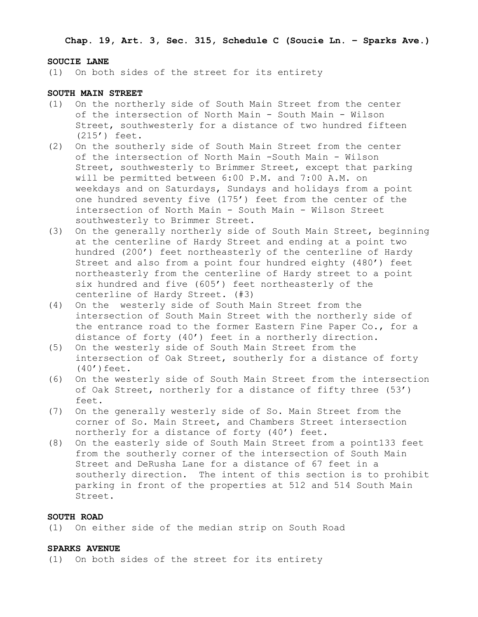**Chap. 19, Art. 3, Sec. 315, Schedule C (Soucie Ln. – Sparks Ave.)**

### **SOUCIE LANE**

(1) On both sides of the street for its entirety

## **SOUTH MAIN STREET**

- (1) On the northerly side of South Main Street from the center of the intersection of North Main - South Main - Wilson Street, southwesterly for a distance of two hundred fifteen (215') feet.
- (2) On the southerly side of South Main Street from the center of the intersection of North Main -South Main - Wilson Street, southwesterly to Brimmer Street, except that parking will be permitted between 6:00 P.M. and 7:00 A.M. on weekdays and on Saturdays, Sundays and holidays from a point one hundred seventy five (175') feet from the center of the intersection of North Main - South Main - Wilson Street southwesterly to Brimmer Street.
- (3) On the generally northerly side of South Main Street, beginning at the centerline of Hardy Street and ending at a point two hundred (200') feet northeasterly of the centerline of Hardy Street and also from a point four hundred eighty (480') feet northeasterly from the centerline of Hardy street to a point six hundred and five (605') feet northeasterly of the centerline of Hardy Street. (#3)
- (4) On the westerly side of South Main Street from the intersection of South Main Street with the northerly side of the entrance road to the former Eastern Fine Paper Co., for a distance of forty (40') feet in a northerly direction.
- (5) On the westerly side of South Main Street from the intersection of Oak Street, southerly for a distance of forty  $(40')$  feet.
- (6) On the westerly side of South Main Street from the intersection of Oak Street, northerly for a distance of fifty three (53') feet.
- (7) On the generally westerly side of So. Main Street from the corner of So. Main Street, and Chambers Street intersection northerly for a distance of forty (40') feet.
- (8) On the easterly side of South Main Street from a point133 feet from the southerly corner of the intersection of South Main Street and DeRusha Lane for a distance of 67 feet in a southerly direction. The intent of this section is to prohibit parking in front of the properties at 512 and 514 South Main Street.

## **SOUTH ROAD**

(1) On either side of the median strip on South Road

## **SPARKS AVENUE**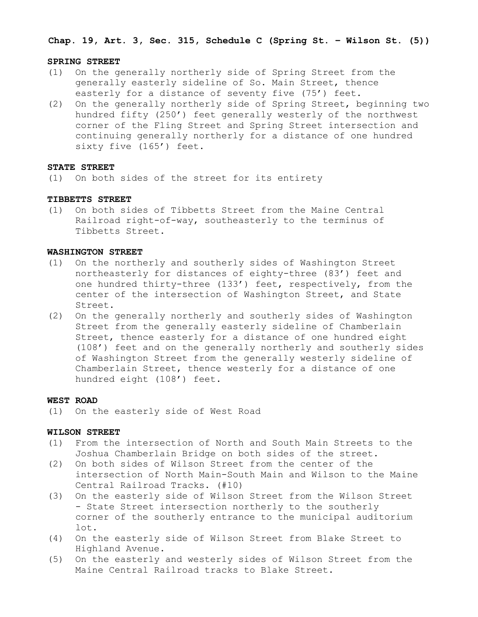**Chap. 19, Art. 3, Sec. 315, Schedule C (Spring St. – Wilson St. (5))**

#### **SPRING STREET**

- (1) On the generally northerly side of Spring Street from the generally easterly sideline of So. Main Street, thence easterly for a distance of seventy five (75') feet.
- (2) On the generally northerly side of Spring Street, beginning two hundred fifty (250') feet generally westerly of the northwest corner of the Fling Street and Spring Street intersection and continuing generally northerly for a distance of one hundred sixty five (165') feet.

### **STATE STREET**

(1) On both sides of the street for its entirety

### **TIBBETTS STREET**

(1) On both sides of Tibbetts Street from the Maine Central Railroad right-of-way, southeasterly to the terminus of Tibbetts Street.

#### **WASHINGTON STREET**

- (1) On the northerly and southerly sides of Washington Street northeasterly for distances of eighty-three (83') feet and one hundred thirty-three (133') feet, respectively, from the center of the intersection of Washington Street, and State Street.
- (2) On the generally northerly and southerly sides of Washington Street from the generally easterly sideline of Chamberlain Street, thence easterly for a distance of one hundred eight (108') feet and on the generally northerly and southerly sides of Washington Street from the generally westerly sideline of Chamberlain Street, thence westerly for a distance of one hundred eight (108') feet.

## **WEST ROAD**

(1) On the easterly side of West Road

## **WILSON STREET**

- (1) From the intersection of North and South Main Streets to the Joshua Chamberlain Bridge on both sides of the street.
- (2) On both sides of Wilson Street from the center of the intersection of North Main-South Main and Wilson to the Maine Central Railroad Tracks. (#10)
- (3) On the easterly side of Wilson Street from the Wilson Street - State Street intersection northerly to the southerly corner of the southerly entrance to the municipal auditorium lot.
- (4) On the easterly side of Wilson Street from Blake Street to Highland Avenue.
- (5) On the easterly and westerly sides of Wilson Street from the Maine Central Railroad tracks to Blake Street.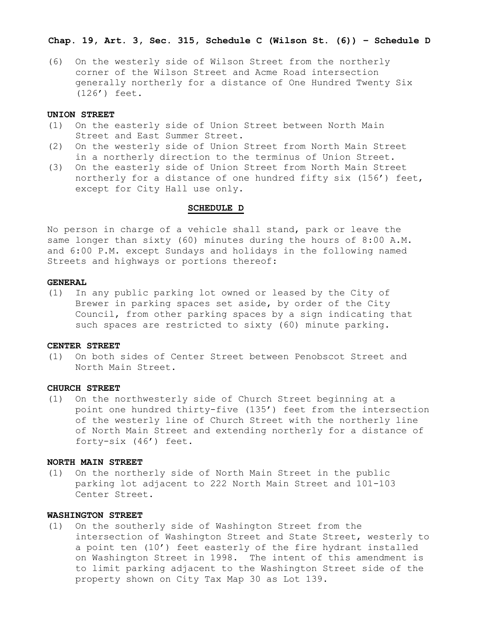## **Chap. 19, Art. 3, Sec. 315, Schedule C (Wilson St. (6)) – Schedule D**

(6) On the westerly side of Wilson Street from the northerly corner of the Wilson Street and Acme Road intersection generally northerly for a distance of One Hundred Twenty Six (126') feet.

### **UNION STREET**

- (1) On the easterly side of Union Street between North Main Street and East Summer Street.
- (2) On the westerly side of Union Street from North Main Street in a northerly direction to the terminus of Union Street.
- (3) On the easterly side of Union Street from North Main Street northerly for a distance of one hundred fifty six (156') feet, except for City Hall use only.

#### **SCHEDULE D**

No person in charge of a vehicle shall stand, park or leave the same longer than sixty (60) minutes during the hours of 8:00 A.M. and 6:00 P.M. except Sundays and holidays in the following named Streets and highways or portions thereof:

## **GENERAL**

(1) In any public parking lot owned or leased by the City of Brewer in parking spaces set aside, by order of the City Council, from other parking spaces by a sign indicating that such spaces are restricted to sixty (60) minute parking.

#### **CENTER STREET**

(1) On both sides of Center Street between Penobscot Street and North Main Street.

### **CHURCH STREET**

(1) On the northwesterly side of Church Street beginning at a point one hundred thirty-five (135') feet from the intersection of the westerly line of Church Street with the northerly line of North Main Street and extending northerly for a distance of forty-six (46') feet.

## **NORTH MAIN STREET**

(1) On the northerly side of North Main Street in the public parking lot adjacent to 222 North Main Street and 101-103 Center Street.

## **WASHINGTON STREET**

(1) On the southerly side of Washington Street from the intersection of Washington Street and State Street, westerly to a point ten (10') feet easterly of the fire hydrant installed on Washington Street in 1998. The intent of this amendment is to limit parking adjacent to the Washington Street side of the property shown on City Tax Map 30 as Lot 139.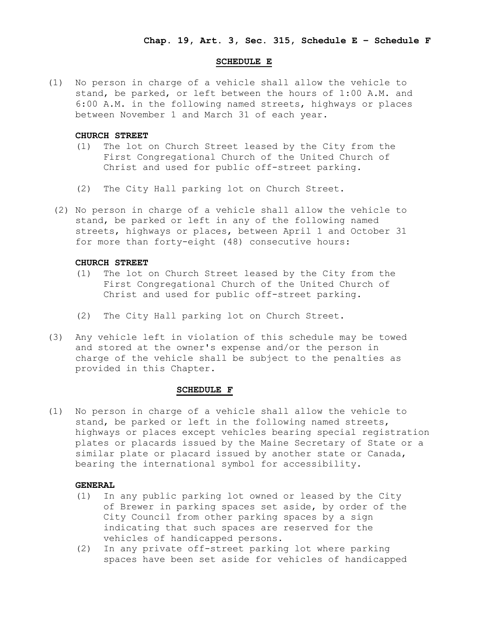### **SCHEDULE E**

(1) No person in charge of a vehicle shall allow the vehicle to stand, be parked, or left between the hours of 1:00 A.M. and 6:00 A.M. in the following named streets, highways or places between November 1 and March 31 of each year.

#### **CHURCH STREET**

- (1) The lot on Church Street leased by the City from the First Congregational Church of the United Church of Christ and used for public off-street parking.
- (2) The City Hall parking lot on Church Street.
- (2) No person in charge of a vehicle shall allow the vehicle to stand, be parked or left in any of the following named streets, highways or places, between April 1 and October 31 for more than forty-eight (48) consecutive hours:

#### **CHURCH STREET**

- (1) The lot on Church Street leased by the City from the First Congregational Church of the United Church of Christ and used for public off-street parking.
- (2) The City Hall parking lot on Church Street.
- (3) Any vehicle left in violation of this schedule may be towed and stored at the owner's expense and/or the person in charge of the vehicle shall be subject to the penalties as provided in this Chapter.

### **SCHEDULE F**

(1) No person in charge of a vehicle shall allow the vehicle to stand, be parked or left in the following named streets, highways or places except vehicles bearing special registration plates or placards issued by the Maine Secretary of State or a similar plate or placard issued by another state or Canada, bearing the international symbol for accessibility.

## **GENERAL**

- (1) In any public parking lot owned or leased by the City of Brewer in parking spaces set aside, by order of the City Council from other parking spaces by a sign indicating that such spaces are reserved for the vehicles of handicapped persons.
- (2) In any private off-street parking lot where parking spaces have been set aside for vehicles of handicapped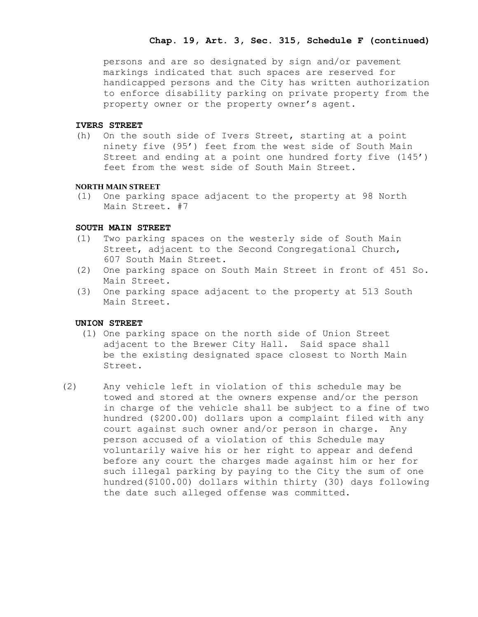## **Chap. 19, Art. 3, Sec. 315, Schedule F (continued)**

persons and are so designated by sign and/or pavement markings indicated that such spaces are reserved for handicapped persons and the City has written authorization to enforce disability parking on private property from the property owner or the property owner's agent.

## **IVERS STREET**

(h) On the south side of Ivers Street, starting at a point ninety five (95') feet from the west side of South Main Street and ending at a point one hundred forty five (145') feet from the west side of South Main Street.

## **NORTH MAIN STREET**

(1) One parking space adjacent to the property at 98 North Main Street. #7

## **SOUTH MAIN STREET**

- (1) Two parking spaces on the westerly side of South Main Street, adjacent to the Second Congregational Church, 607 South Main Street.
- (2) One parking space on South Main Street in front of 451 So. Main Street.
- (3) One parking space adjacent to the property at 513 South Main Street.

## **UNION STREET**

- (1) One parking space on the north side of Union Street adjacent to the Brewer City Hall. Said space shall be the existing designated space closest to North Main Street.
- (2) Any vehicle left in violation of this schedule may be towed and stored at the owners expense and/or the person in charge of the vehicle shall be subject to a fine of two hundred (\$200.00) dollars upon a complaint filed with any court against such owner and/or person in charge. Any person accused of a violation of this Schedule may voluntarily waive his or her right to appear and defend before any court the charges made against him or her for such illegal parking by paying to the City the sum of one hundred(\$100.00) dollars within thirty (30) days following the date such alleged offense was committed.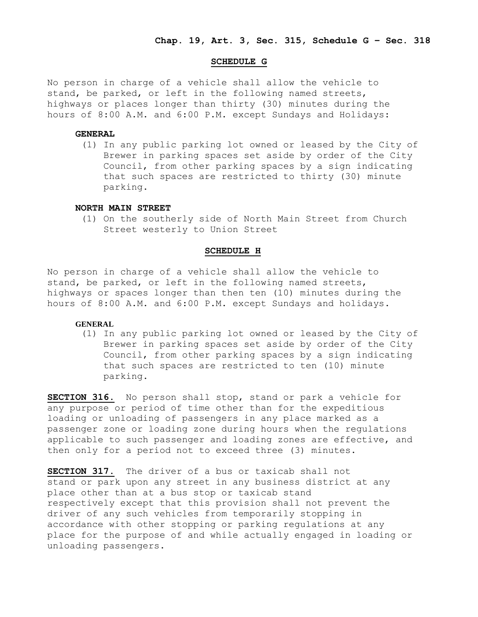### **SCHEDULE G**

No person in charge of a vehicle shall allow the vehicle to stand, be parked, or left in the following named streets, highways or places longer than thirty (30) minutes during the hours of 8:00 A.M. and 6:00 P.M. except Sundays and Holidays:

### **GENERAL**

(1) In any public parking lot owned or leased by the City of Brewer in parking spaces set aside by order of the City Council, from other parking spaces by a sign indicating that such spaces are restricted to thirty (30) minute parking.

#### **NORTH MAIN STREET**

 (1) On the southerly side of North Main Street from Church Street westerly to Union Street

#### **SCHEDULE H**

No person in charge of a vehicle shall allow the vehicle to stand, be parked, or left in the following named streets, highways or spaces longer than then ten (10) minutes during the hours of 8:00 A.M. and 6:00 P.M. except Sundays and holidays.

## **GENERAL**

(1) In any public parking lot owned or leased by the City of Brewer in parking spaces set aside by order of the City Council, from other parking spaces by a sign indicating that such spaces are restricted to ten (10) minute parking.

**SECTION 316.** No person shall stop, stand or park a vehicle for any purpose or period of time other than for the expeditious loading or unloading of passengers in any place marked as a passenger zone or loading zone during hours when the regulations applicable to such passenger and loading zones are effective, and then only for a period not to exceed three (3) minutes.

**SECTION 317.** The driver of a bus or taxicab shall not stand or park upon any street in any business district at any place other than at a bus stop or taxicab stand respectively except that this provision shall not prevent the driver of any such vehicles from temporarily stopping in accordance with other stopping or parking regulations at any place for the purpose of and while actually engaged in loading or unloading passengers.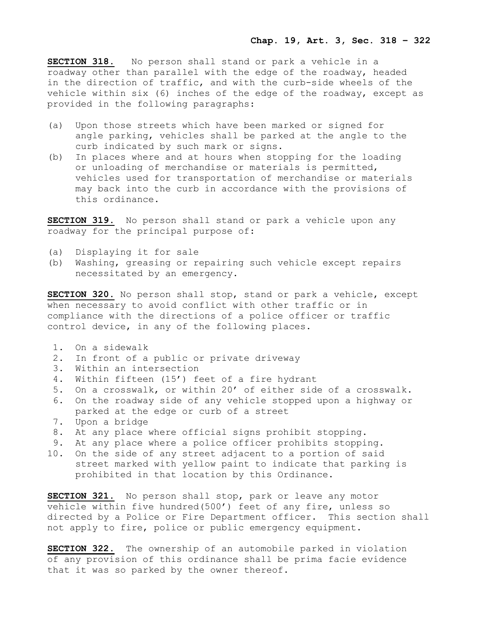**SECTION 318.** No person shall stand or park a vehicle in a roadway other than parallel with the edge of the roadway, headed in the direction of traffic, and with the curb-side wheels of the vehicle within six (6) inches of the edge of the roadway, except as provided in the following paragraphs:

- (a) Upon those streets which have been marked or signed for angle parking, vehicles shall be parked at the angle to the curb indicated by such mark or signs.
- (b) In places where and at hours when stopping for the loading or unloading of merchandise or materials is permitted, vehicles used for transportation of merchandise or materials may back into the curb in accordance with the provisions of this ordinance.

**SECTION 319.** No person shall stand or park a vehicle upon any roadway for the principal purpose of:

- (a) Displaying it for sale
- (b) Washing, greasing or repairing such vehicle except repairs necessitated by an emergency.

**SECTION 320.** No person shall stop, stand or park a vehicle, except when necessary to avoid conflict with other traffic or in compliance with the directions of a police officer or traffic control device, in any of the following places.

- 1. On a sidewalk
- 2. In front of a public or private driveway
- 3. Within an intersection
- 4. Within fifteen (15') feet of a fire hydrant
- 5. On a crosswalk, or within 20' of either side of a crosswalk.
- 6. On the roadway side of any vehicle stopped upon a highway or parked at the edge or curb of a street
- 7. Upon a bridge
- 8. At any place where official signs prohibit stopping.
- 9. At any place where a police officer prohibits stopping.
- 10. On the side of any street adjacent to a portion of said street marked with yellow paint to indicate that parking is prohibited in that location by this Ordinance.

**SECTION 321.** No person shall stop, park or leave any motor vehicle within five hundred(500') feet of any fire, unless so directed by a Police or Fire Department officer. This section shall not apply to fire, police or public emergency equipment.

**SECTION 322.** The ownership of an automobile parked in violation of any provision of this ordinance shall be prima facie evidence that it was so parked by the owner thereof.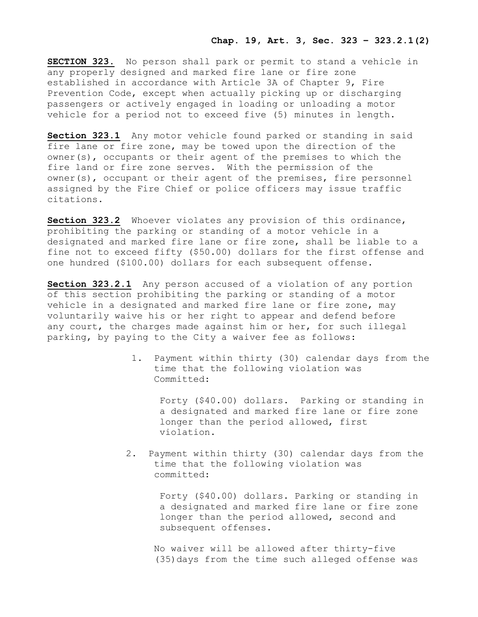**SECTION 323.** No person shall park or permit to stand a vehicle in any properly designed and marked fire lane or fire zone established in accordance with Article 3A of Chapter 9, Fire Prevention Code, except when actually picking up or discharging passengers or actively engaged in loading or unloading a motor vehicle for a period not to exceed five (5) minutes in length.

**Section 323.1** Any motor vehicle found parked or standing in said fire lane or fire zone, may be towed upon the direction of the owner(s), occupants or their agent of the premises to which the fire land or fire zone serves. With the permission of the owner(s), occupant or their agent of the premises, fire personnel assigned by the Fire Chief or police officers may issue traffic citations.

**Section 323.2** Whoever violates any provision of this ordinance, prohibiting the parking or standing of a motor vehicle in a designated and marked fire lane or fire zone, shall be liable to a fine not to exceed fifty (\$50.00) dollars for the first offense and one hundred (\$100.00) dollars for each subsequent offense.

**Section 323.2.1** Any person accused of a violation of any portion of this section prohibiting the parking or standing of a motor vehicle in a designated and marked fire lane or fire zone, may voluntarily waive his or her right to appear and defend before any court, the charges made against him or her, for such illegal parking, by paying to the City a waiver fee as follows:

> 1. Payment within thirty (30) calendar days from the time that the following violation was Committed:

Forty (\$40.00) dollars. Parking or standing in a designated and marked fire lane or fire zone longer than the period allowed, first violation.

 2. Payment within thirty (30) calendar days from the time that the following violation was committed:

> Forty (\$40.00) dollars. Parking or standing in a designated and marked fire lane or fire zone longer than the period allowed, second and subsequent offenses.

 No waiver will be allowed after thirty-five (35)days from the time such alleged offense was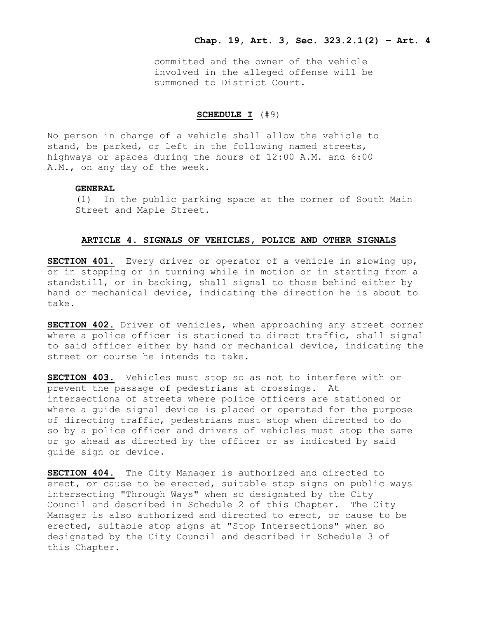committed and the owner of the vehicle involved in the alleged offense will be summoned to District Court.

## **SCHEDULE I** (#9)

No person in charge of a vehicle shall allow the vehicle to stand, be parked, or left in the following named streets, highways or spaces during the hours of 12:00 A.M. and 6:00 A.M., on any day of the week.

## **GENERAL**

(1) In the public parking space at the corner of South Main Street and Maple Street.

### **ARTICLE 4. SIGNALS OF VEHICLES, POLICE AND OTHER SIGNALS**

**SECTION 401.** Every driver or operator of a vehicle in slowing up, or in stopping or in turning while in motion or in starting from a standstill, or in backing, shall signal to those behind either by hand or mechanical device, indicating the direction he is about to take.

**SECTION 402.** Driver of vehicles, when approaching any street corner where a police officer is stationed to direct traffic, shall signal to said officer either by hand or mechanical device, indicating the street or course he intends to take.

**SECTION 403.** Vehicles must stop so as not to interfere with or prevent the passage of pedestrians at crossings. At intersections of streets where police officers are stationed or where a guide signal device is placed or operated for the purpose of directing traffic, pedestrians must stop when directed to do so by a police officer and drivers of vehicles must stop the same or go ahead as directed by the officer or as indicated by said guide sign or device.

**SECTION 404.** The City Manager is authorized and directed to erect, or cause to be erected, suitable stop signs on public ways intersecting "Through Ways" when so designated by the City Council and described in Schedule 2 of this Chapter. The City Manager is also authorized and directed to erect, or cause to be erected, suitable stop signs at "Stop Intersections" when so designated by the City Council and described in Schedule 3 of this Chapter.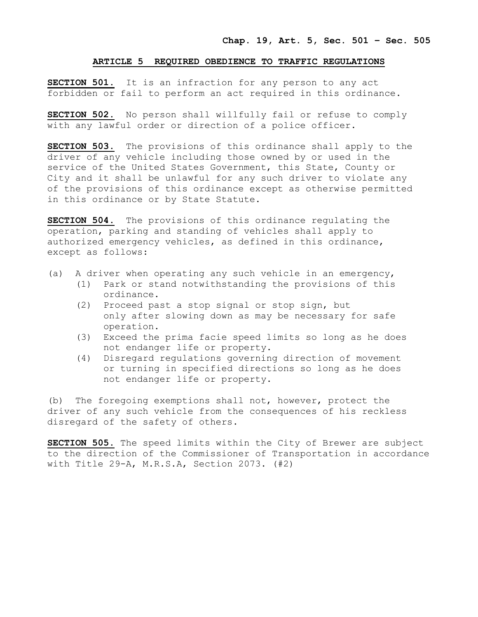### **ARTICLE 5 REQUIRED OBEDIENCE TO TRAFFIC REGULATIONS**

**SECTION 501.** It is an infraction for any person to any act forbidden or fail to perform an act required in this ordinance.

**SECTION 502.** No person shall willfully fail or refuse to comply with any lawful order or direction of a police officer.

**SECTION 503.** The provisions of this ordinance shall apply to the driver of any vehicle including those owned by or used in the service of the United States Government, this State, County or City and it shall be unlawful for any such driver to violate any of the provisions of this ordinance except as otherwise permitted in this ordinance or by State Statute.

**SECTION 504.** The provisions of this ordinance regulating the operation, parking and standing of vehicles shall apply to authorized emergency vehicles, as defined in this ordinance, except as follows:

- (a) A driver when operating any such vehicle in an emergency,
	- (1) Park or stand notwithstanding the provisions of this ordinance.
	- (2) Proceed past a stop signal or stop sign, but only after slowing down as may be necessary for safe operation.
	- (3) Exceed the prima facie speed limits so long as he does not endanger life or property.
	- (4) Disregard regulations governing direction of movement or turning in specified directions so long as he does not endanger life or property.

(b) The foregoing exemptions shall not, however, protect the driver of any such vehicle from the consequences of his reckless disregard of the safety of others.

**SECTION 505.** The speed limits within the City of Brewer are subject to the direction of the Commissioner of Transportation in accordance with Title 29-A, M.R.S.A, Section 2073. (#2)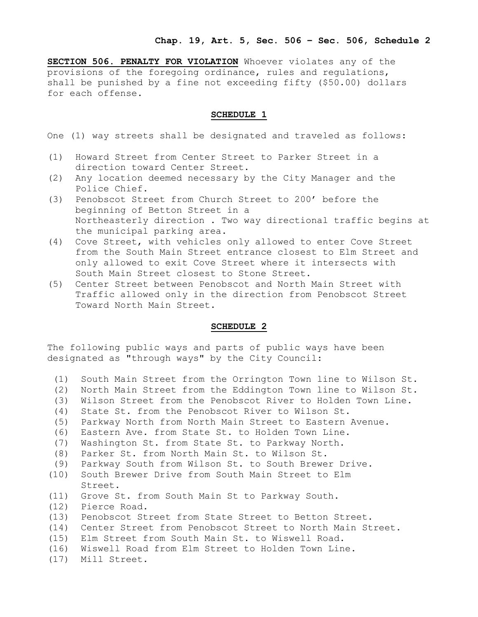**SECTION 506. PENALTY FOR VIOLATION** Whoever violates any of the provisions of the foregoing ordinance, rules and regulations, shall be punished by a fine not exceeding fifty (\$50.00) dollars for each offense.

## **SCHEDULE 1**

One (1) way streets shall be designated and traveled as follows:

- (1) Howard Street from Center Street to Parker Street in a direction toward Center Street.
- (2) Any location deemed necessary by the City Manager and the Police Chief.
- (3) Penobscot Street from Church Street to 200' before the beginning of Betton Street in a Northeasterly direction . Two way directional traffic begins at the municipal parking area.
- (4) Cove Street, with vehicles only allowed to enter Cove Street from the South Main Street entrance closest to Elm Street and only allowed to exit Cove Street where it intersects with South Main Street closest to Stone Street.
- (5) Center Street between Penobscot and North Main Street with Traffic allowed only in the direction from Penobscot Street Toward North Main Street.

# **SCHEDULE 2**

The following public ways and parts of public ways have been designated as "through ways" by the City Council:

- (1) South Main Street from the Orrington Town line to Wilson St.
- (2) North Main Street from the Eddington Town line to Wilson St.
- (3) Wilson Street from the Penobscot River to Holden Town Line.
- (4) State St. from the Penobscot River to Wilson St.
- (5) Parkway North from North Main Street to Eastern Avenue.
- (6) Eastern Ave. from State St. to Holden Town Line.
- (7) Washington St. from State St. to Parkway North.
- (8) Parker St. from North Main St. to Wilson St.
- (9) Parkway South from Wilson St. to South Brewer Drive.
- (10) South Brewer Drive from South Main Street to Elm Street.
- (11) Grove St. from South Main St to Parkway South.
- (12) Pierce Road.
- (13) Penobscot Street from State Street to Betton Street.
- (14) Center Street from Penobscot Street to North Main Street.
- (15) Elm Street from South Main St. to Wiswell Road.
- (16) Wiswell Road from Elm Street to Holden Town Line.
- (17) Mill Street.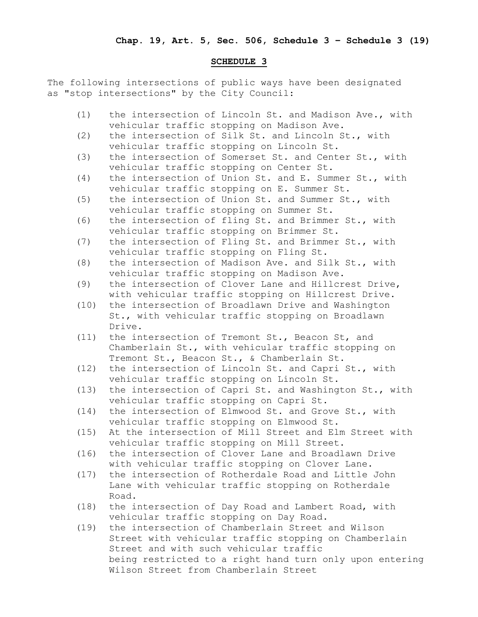## **SCHEDULE 3**

The following intersections of public ways have been designated as "stop intersections" by the City Council:

- (1) the intersection of Lincoln St. and Madison Ave., with vehicular traffic stopping on Madison Ave.
- (2) the intersection of Silk St. and Lincoln St., with vehicular traffic stopping on Lincoln St.
- (3) the intersection of Somerset St. and Center St., with vehicular traffic stopping on Center St.
- (4) the intersection of Union St. and E. Summer St., with vehicular traffic stopping on E. Summer St.
- (5) the intersection of Union St. and Summer St., with vehicular traffic stopping on Summer St.
- (6) the intersection of fling St. and Brimmer St., with vehicular traffic stopping on Brimmer St.
- (7) the intersection of Fling St. and Brimmer St., with vehicular traffic stopping on Fling St.
- (8) the intersection of Madison Ave. and Silk St., with vehicular traffic stopping on Madison Ave.
- (9) the intersection of Clover Lane and Hillcrest Drive, with vehicular traffic stopping on Hillcrest Drive.
- (10) the intersection of Broadlawn Drive and Washington St., with vehicular traffic stopping on Broadlawn Drive.
- (11) the intersection of Tremont St., Beacon St, and Chamberlain St., with vehicular traffic stopping on Tremont St., Beacon St., & Chamberlain St.
- (12) the intersection of Lincoln St. and Capri St., with vehicular traffic stopping on Lincoln St.
- (13) the intersection of Capri St. and Washington St., with vehicular traffic stopping on Capri St.
- (14) the intersection of Elmwood St. and Grove St., with vehicular traffic stopping on Elmwood St.
- (15) At the intersection of Mill Street and Elm Street with vehicular traffic stopping on Mill Street.
- (16) the intersection of Clover Lane and Broadlawn Drive with vehicular traffic stopping on Clover Lane.
- (17) the intersection of Rotherdale Road and Little John Lane with vehicular traffic stopping on Rotherdale Road.
- (18) the intersection of Day Road and Lambert Road, with vehicular traffic stopping on Day Road.
- (19) the intersection of Chamberlain Street and Wilson Street with vehicular traffic stopping on Chamberlain Street and with such vehicular traffic being restricted to a right hand turn only upon entering Wilson Street from Chamberlain Street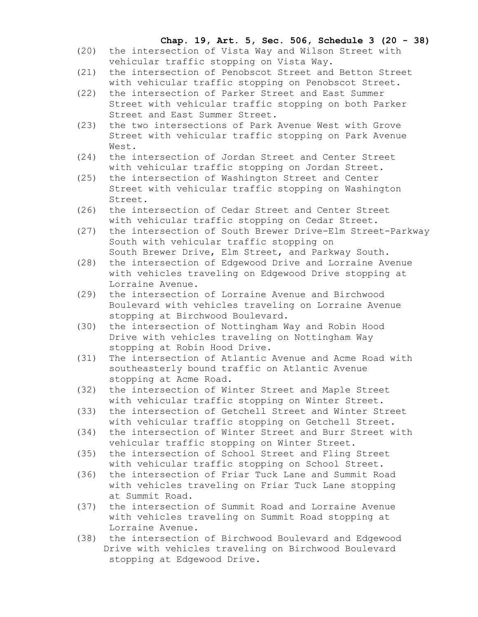# **Chap. 19, Art. 5, Sec. 506, Schedule 3 (20 - 38)**

- (20) the intersection of Vista Way and Wilson Street with vehicular traffic stopping on Vista Way.
- (21) the intersection of Penobscot Street and Betton Street with vehicular traffic stopping on Penobscot Street.
- (22) the intersection of Parker Street and East Summer Street with vehicular traffic stopping on both Parker Street and East Summer Street.
- (23) the two intersections of Park Avenue West with Grove Street with vehicular traffic stopping on Park Avenue West.
- (24) the intersection of Jordan Street and Center Street with vehicular traffic stopping on Jordan Street.
- (25) the intersection of Washington Street and Center Street with vehicular traffic stopping on Washington Street.
- (26) the intersection of Cedar Street and Center Street with vehicular traffic stopping on Cedar Street.
- (27) the intersection of South Brewer Drive-Elm Street-Parkway South with vehicular traffic stopping on South Brewer Drive, Elm Street, and Parkway South.
- (28) the intersection of Edgewood Drive and Lorraine Avenue with vehicles traveling on Edgewood Drive stopping at Lorraine Avenue.
- (29) the intersection of Lorraine Avenue and Birchwood Boulevard with vehicles traveling on Lorraine Avenue stopping at Birchwood Boulevard.
- (30) the intersection of Nottingham Way and Robin Hood Drive with vehicles traveling on Nottingham Way stopping at Robin Hood Drive.
- (31) The intersection of Atlantic Avenue and Acme Road with southeasterly bound traffic on Atlantic Avenue stopping at Acme Road.
- (32) the intersection of Winter Street and Maple Street with vehicular traffic stopping on Winter Street.
- (33) the intersection of Getchell Street and Winter Street with vehicular traffic stopping on Getchell Street.
- (34) the intersection of Winter Street and Burr Street with vehicular traffic stopping on Winter Street.
- (35) the intersection of School Street and Fling Street with vehicular traffic stopping on School Street.
- (36) the intersection of Friar Tuck Lane and Summit Road with vehicles traveling on Friar Tuck Lane stopping at Summit Road.
- (37) the intersection of Summit Road and Lorraine Avenue with vehicles traveling on Summit Road stopping at Lorraine Avenue.
- (38) the intersection of Birchwood Boulevard and Edgewood Drive with vehicles traveling on Birchwood Boulevard stopping at Edgewood Drive.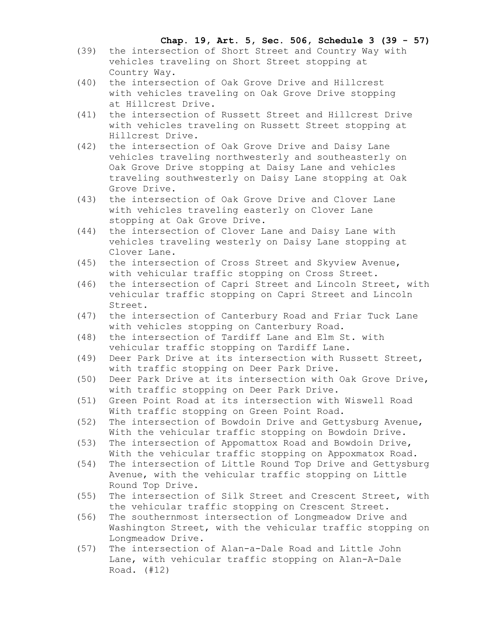# **Chap. 19, Art. 5, Sec. 506, Schedule 3 (39 - 57)**

- (39) the intersection of Short Street and Country Way with vehicles traveling on Short Street stopping at Country Way.
- (40) the intersection of Oak Grove Drive and Hillcrest with vehicles traveling on Oak Grove Drive stopping at Hillcrest Drive.
- (41) the intersection of Russett Street and Hillcrest Drive with vehicles traveling on Russett Street stopping at Hillcrest Drive.
- (42) the intersection of Oak Grove Drive and Daisy Lane vehicles traveling northwesterly and southeasterly on Oak Grove Drive stopping at Daisy Lane and vehicles traveling southwesterly on Daisy Lane stopping at Oak Grove Drive.
- (43) the intersection of Oak Grove Drive and Clover Lane with vehicles traveling easterly on Clover Lane stopping at Oak Grove Drive.
- (44) the intersection of Clover Lane and Daisy Lane with vehicles traveling westerly on Daisy Lane stopping at Clover Lane.
- (45) the intersection of Cross Street and Skyview Avenue, with vehicular traffic stopping on Cross Street.
- (46) the intersection of Capri Street and Lincoln Street, with vehicular traffic stopping on Capri Street and Lincoln Street.
- (47) the intersection of Canterbury Road and Friar Tuck Lane with vehicles stopping on Canterbury Road.
- (48) the intersection of Tardiff Lane and Elm St. with vehicular traffic stopping on Tardiff Lane.
- (49) Deer Park Drive at its intersection with Russett Street, with traffic stopping on Deer Park Drive.
- (50) Deer Park Drive at its intersection with Oak Grove Drive, with traffic stopping on Deer Park Drive.
- (51) Green Point Road at its intersection with Wiswell Road With traffic stopping on Green Point Road.
- (52) The intersection of Bowdoin Drive and Gettysburg Avenue, With the vehicular traffic stopping on Bowdoin Drive.
- (53) The intersection of Appomattox Road and Bowdoin Drive, With the vehicular traffic stopping on Appoxmatox Road.
- (54) The intersection of Little Round Top Drive and Gettysburg Avenue, with the vehicular traffic stopping on Little Round Top Drive.
- (55) The intersection of Silk Street and Crescent Street, with the vehicular traffic stopping on Crescent Street.
- (56) The southernmost intersection of Longmeadow Drive and Washington Street, with the vehicular traffic stopping on Longmeadow Drive.
- (57) The intersection of Alan-a-Dale Road and Little John Lane, with vehicular traffic stopping on Alan-A-Dale Road. (#12)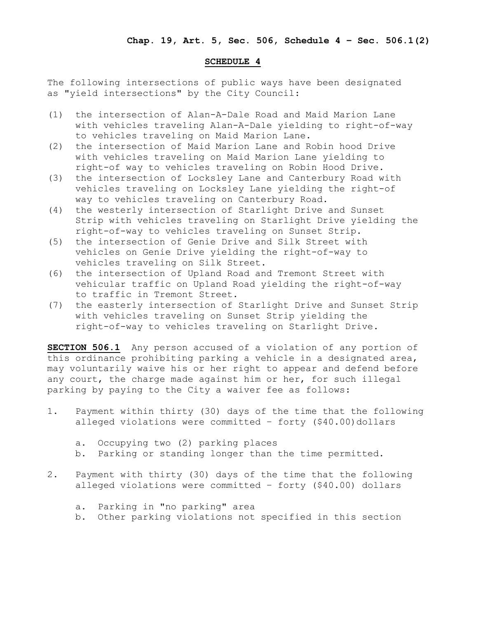## **SCHEDULE 4**

The following intersections of public ways have been designated as "yield intersections" by the City Council:

- (1) the intersection of Alan-A-Dale Road and Maid Marion Lane with vehicles traveling Alan-A-Dale yielding to right-of-way to vehicles traveling on Maid Marion Lane.
- (2) the intersection of Maid Marion Lane and Robin hood Drive with vehicles traveling on Maid Marion Lane yielding to right-of way to vehicles traveling on Robin Hood Drive.
- (3) the intersection of Locksley Lane and Canterbury Road with vehicles traveling on Locksley Lane yielding the right-of way to vehicles traveling on Canterbury Road.
- (4) the westerly intersection of Starlight Drive and Sunset Strip with vehicles traveling on Starlight Drive yielding the right-of-way to vehicles traveling on Sunset Strip.
- (5) the intersection of Genie Drive and Silk Street with vehicles on Genie Drive yielding the right-of-way to vehicles traveling on Silk Street.
- (6) the intersection of Upland Road and Tremont Street with vehicular traffic on Upland Road yielding the right-of-way to traffic in Tremont Street.
- (7) the easterly intersection of Starlight Drive and Sunset Strip with vehicles traveling on Sunset Strip yielding the right-of-way to vehicles traveling on Starlight Drive.

**SECTION 506.1** Any person accused of a violation of any portion of this ordinance prohibiting parking a vehicle in a designated area, may voluntarily waive his or her right to appear and defend before any court, the charge made against him or her, for such illegal parking by paying to the City a waiver fee as follows:

- 1. Payment within thirty (30) days of the time that the following alleged violations were committed - forty (\$40.00)dollars
	- a. Occupying two (2) parking places
	- b. Parking or standing longer than the time permitted.
- 2. Payment with thirty (30) days of the time that the following alleged violations were committed – forty (\$40.00) dollars
	- a. Parking in "no parking" area
	- b. Other parking violations not specified in this section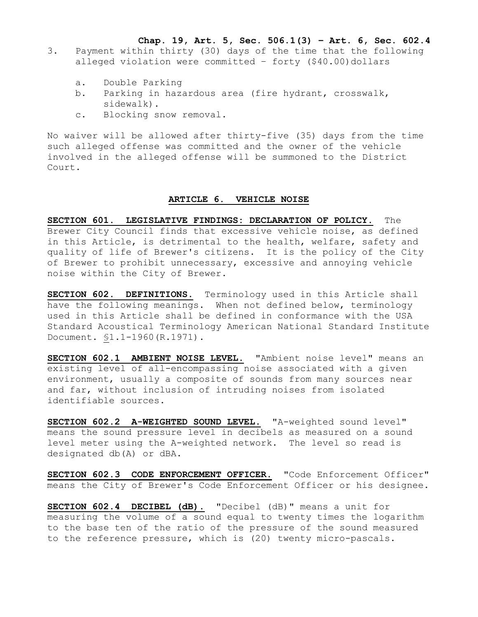**Chap. 19, Art. 5, Sec. 506.1(3) – Art. 6, Sec. 602.4**

- 3. Payment within thirty (30) days of the time that the following alleged violation were committed  $-$  forty (\$40.00)dollars
	- a. Double Parking
	- b. Parking in hazardous area (fire hydrant, crosswalk, sidewalk).
	- c. Blocking snow removal.

No waiver will be allowed after thirty-five (35) days from the time such alleged offense was committed and the owner of the vehicle involved in the alleged offense will be summoned to the District Court.

#### **ARTICLE 6. VEHICLE NOISE**

**SECTION 601. LEGISLATIVE FINDINGS: DECLARATION OF POLICY.** The Brewer City Council finds that excessive vehicle noise, as defined in this Article, is detrimental to the health, welfare, safety and quality of life of Brewer's citizens. It is the policy of the City of Brewer to prohibit unnecessary, excessive and annoying vehicle noise within the City of Brewer.

**SECTION 602. DEFINITIONS.** Terminology used in this Article shall have the following meanings. When not defined below, terminology used in this Article shall be defined in conformance with the USA Standard Acoustical Terminology American National Standard Institute Document. §1.1-1960(R.1971).

**SECTION 602.1 AMBIENT NOISE LEVEL.** "Ambient noise level" means an existing level of all-encompassing noise associated with a given environment, usually a composite of sounds from many sources near and far, without inclusion of intruding noises from isolated identifiable sources.

**SECTION 602.2 A-WEIGHTED SOUND LEVEL.** "A-weighted sound level" means the sound pressure level in decibels as measured on a sound level meter using the A-weighted network. The level so read is designated db(A) or dBA.

**SECTION 602.3 CODE ENFORCEMENT OFFICER.** "Code Enforcement Officer" means the City of Brewer's Code Enforcement Officer or his designee.

**SECTION 602.4 DECIBEL (dB).** "Decibel (dB)" means a unit for measuring the volume of a sound equal to twenty times the logarithm to the base ten of the ratio of the pressure of the sound measured to the reference pressure, which is (20) twenty micro-pascals.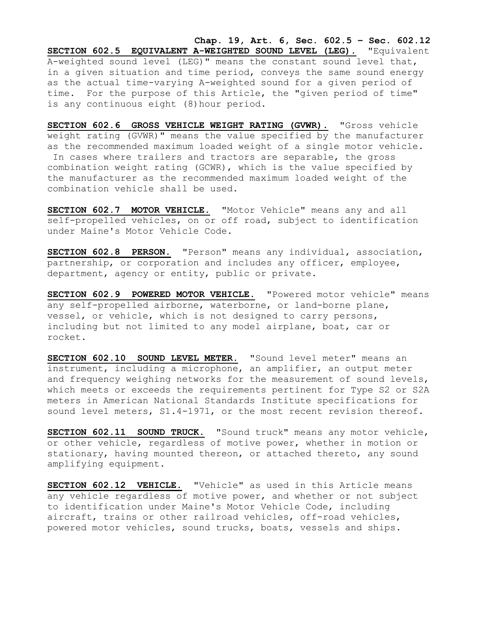**Chap. 19, Art. 6, Sec. 602.5 – Sec. 602.12 SECTION 602.5 EQUIVALENT A-WEIGHTED SOUND LEVEL (LEG).** "Equivalent A-weighted sound level (LEG)" means the constant sound level that, in a given situation and time period, conveys the same sound energy as the actual time-varying A-weighted sound for a given period of time. For the purpose of this Article, the "given period of time" is any continuous eight (8)hour period.

**SECTION 602.6 GROSS VEHICLE WEIGHT RATING (GVWR).** "Gross vehicle weight rating (GVWR)" means the value specified by the manufacturer as the recommended maximum loaded weight of a single motor vehicle. In cases where trailers and tractors are separable, the gross combination weight rating (GCWR), which is the value specified by the manufacturer as the recommended maximum loaded weight of the combination vehicle shall be used.

**SECTION 602.7 MOTOR VEHICLE.** "Motor Vehicle" means any and all self-propelled vehicles, on or off road, subject to identification under Maine's Motor Vehicle Code.

**SECTION 602.8 PERSON.** "Person" means any individual, association, partnership, or corporation and includes any officer, employee, department, agency or entity, public or private.

**SECTION 602.9 POWERED MOTOR VEHICLE.** "Powered motor vehicle" means any self-propelled airborne, waterborne, or land-borne plane, vessel, or vehicle, which is not designed to carry persons, including but not limited to any model airplane, boat, car or rocket.

SECTION 602.10 SOUND LEVEL METER. "Sound level meter" means an instrument, including a microphone, an amplifier, an output meter and frequency weighing networks for the measurement of sound levels, which meets or exceeds the requirements pertinent for Type S2 or S2A meters in American National Standards Institute specifications for sound level meters, S1.4-1971, or the most recent revision thereof.

**SECTION 602.11 SOUND TRUCK.** "Sound truck" means any motor vehicle, or other vehicle, regardless of motive power, whether in motion or stationary, having mounted thereon, or attached thereto, any sound amplifying equipment.

**SECTION 602.12 VEHICLE.** "Vehicle" as used in this Article means any vehicle regardless of motive power, and whether or not subject to identification under Maine's Motor Vehicle Code, including aircraft, trains or other railroad vehicles, off-road vehicles, powered motor vehicles, sound trucks, boats, vessels and ships.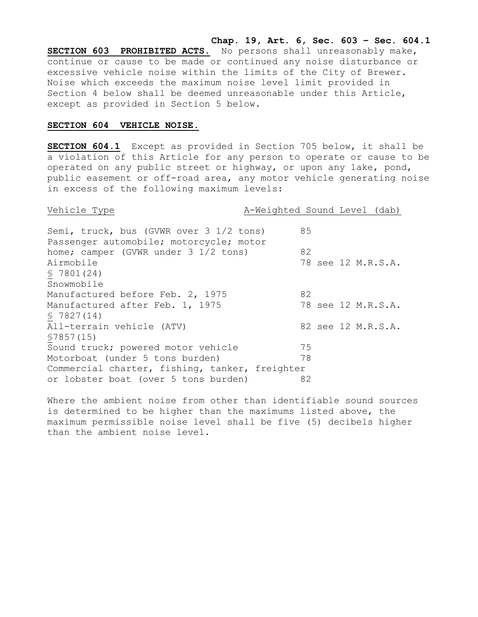**Chap. 19, Art. 6, Sec. 603 – Sec. 604.1 SECTION 603 PROHIBITED ACTS.** No persons shall unreasonably make, continue or cause to be made or continued any noise disturbance or excessive vehicle noise within the limits of the City of Brewer. Noise which exceeds the maximum noise level limit provided in Section 4 below shall be deemed unreasonable under this Article, except as provided in Section 5 below.

#### **SECTION 604 VEHICLE NOISE.**

**SECTION 604.1** Except as provided in Section 705 below, it shall be a violation of this Article for any person to operate or cause to be operated on any public street or highway, or upon any lake, pond, public easement or off-road area, any motor vehicle generating noise in excess of the following maximum levels:

Vehicle Type A-Weighted Sound Level (dab) Semi, truck, bus (GVWR over 3 1/2 tons) 85 Passenger automobile; motorcycle; motor home; camper (GVWR under 3 1/2 tons) 82 Airmobile 78 see 12 M.R.S.A. § 7801(24) Snowmobile Manufactured before Feb. 2, 1975 82 Manufactured after Feb. 1, 1975 78 see 12 M.R.S.A. § 7827(14) All-terrain vehicle (ATV) 82 see 12 M.R.S.A. §7857(15) Sound truck; powered motor vehicle 75 Motorboat (under 5 tons burden) 78 Commercial charter, fishing, tanker, freighter or lobster boat (over 5 tons burden) 82

Where the ambient noise from other than identifiable sound sources is determined to be higher than the maximums listed above, the maximum permissible noise level shall be five (5) decibels higher than the ambient noise level.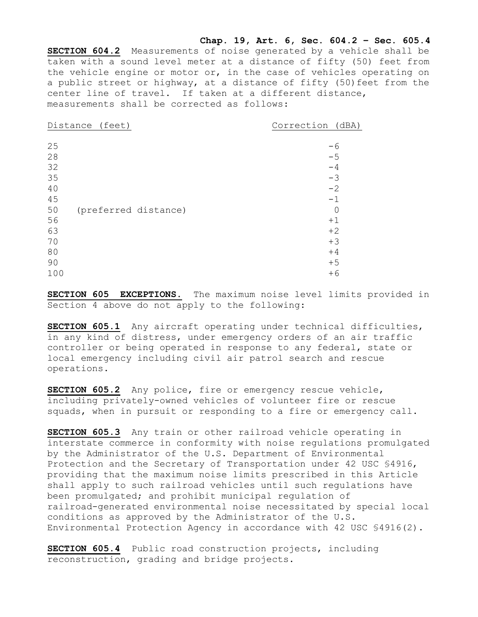**Chap. 19, Art. 6, Sec. 604.2 – Sec. 605.4 SECTION 604.2** Measurements of noise generated by a vehicle shall be taken with a sound level meter at a distance of fifty (50) feet from the vehicle engine or motor or, in the case of vehicles operating on a public street or highway, at a distance of fifty (50)feet from the center line of travel. If taken at a different distance, measurements shall be corrected as follows:

Distance (feet) Correction (dBA)

| 25  |                      | -6   |
|-----|----------------------|------|
| 28  |                      | $-5$ |
| 32  |                      | -4   |
| 35  |                      | $-3$ |
| 40  |                      | $-2$ |
| 45  |                      | $-1$ |
| 50  | (preferred distance) |      |
| 56  |                      | $+1$ |
| 63  |                      | $+2$ |
| 70  |                      | $+3$ |
| 80  |                      | $+4$ |
| 90  |                      | $+5$ |
| 100 |                      | $+6$ |

**SECTION 605 EXCEPTIONS.** The maximum noise level limits provided in Section 4 above do not apply to the following:

**SECTION 605.1** Any aircraft operating under technical difficulties, in any kind of distress, under emergency orders of an air traffic controller or being operated in response to any federal, state or local emergency including civil air patrol search and rescue operations.

**SECTION 605.2** Any police, fire or emergency rescue vehicle, including privately-owned vehicles of volunteer fire or rescue squads, when in pursuit or responding to a fire or emergency call.

**SECTION 605.3** Any train or other railroad vehicle operating in interstate commerce in conformity with noise regulations promulgated by the Administrator of the U.S. Department of Environmental Protection and the Secretary of Transportation under 42 USC §4916, providing that the maximum noise limits prescribed in this Article shall apply to such railroad vehicles until such regulations have been promulgated; and prohibit municipal regulation of railroad-generated environmental noise necessitated by special local conditions as approved by the Administrator of the U.S. Environmental Protection Agency in accordance with 42 USC §4916(2).

**SECTION 605.4** Public road construction projects, including reconstruction, grading and bridge projects.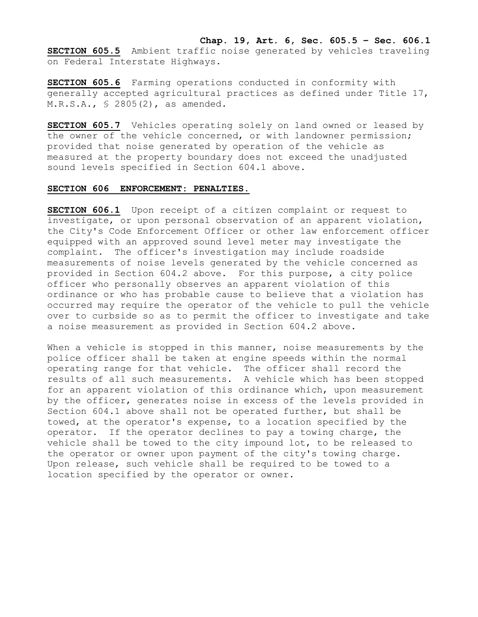**SECTION 605.5** Ambient traffic noise generated by vehicles traveling on Federal Interstate Highways.

**SECTION 605.6** Farming operations conducted in conformity with generally accepted agricultural practices as defined under Title 17, M.R.S.A., § 2805(2), as amended.

**SECTION 605.7** Vehicles operating solely on land owned or leased by the owner of the vehicle concerned, or with landowner permission; provided that noise generated by operation of the vehicle as measured at the property boundary does not exceed the unadjusted sound levels specified in Section 604.1 above.

## **SECTION 606 ENFORCEMENT: PENALTIES.**

**SECTION 606.1** Upon receipt of a citizen complaint or request to investigate, or upon personal observation of an apparent violation, the City's Code Enforcement Officer or other law enforcement officer equipped with an approved sound level meter may investigate the complaint. The officer's investigation may include roadside measurements of noise levels generated by the vehicle concerned as provided in Section 604.2 above. For this purpose, a city police officer who personally observes an apparent violation of this ordinance or who has probable cause to believe that a violation has occurred may require the operator of the vehicle to pull the vehicle over to curbside so as to permit the officer to investigate and take a noise measurement as provided in Section 604.2 above.

When a vehicle is stopped in this manner, noise measurements by the police officer shall be taken at engine speeds within the normal operating range for that vehicle. The officer shall record the results of all such measurements. A vehicle which has been stopped for an apparent violation of this ordinance which, upon measurement by the officer, generates noise in excess of the levels provided in Section 604.1 above shall not be operated further, but shall be towed, at the operator's expense, to a location specified by the operator. If the operator declines to pay a towing charge, the vehicle shall be towed to the city impound lot, to be released to the operator or owner upon payment of the city's towing charge. Upon release, such vehicle shall be required to be towed to a location specified by the operator or owner.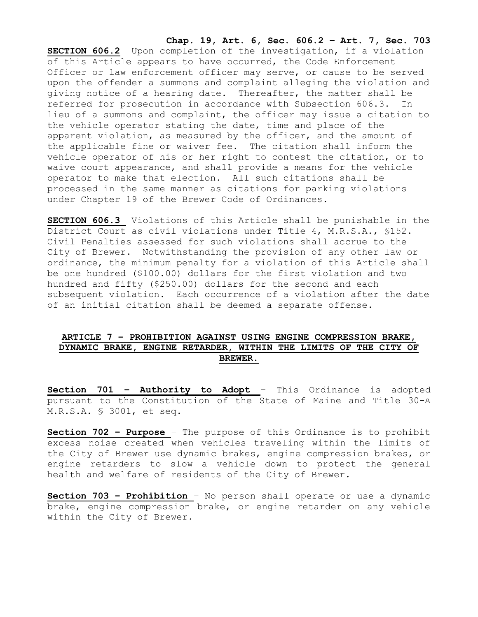**Chap. 19, Art. 6, Sec. 606.2 – Art. 7, Sec. 703**

**SECTION 606.2** Upon completion of the investigation, if a violation of this Article appears to have occurred, the Code Enforcement Officer or law enforcement officer may serve, or cause to be served upon the offender a summons and complaint alleging the violation and giving notice of a hearing date. Thereafter, the matter shall be referred for prosecution in accordance with Subsection 606.3. In lieu of a summons and complaint, the officer may issue a citation to the vehicle operator stating the date, time and place of the apparent violation, as measured by the officer, and the amount of the applicable fine or waiver fee. The citation shall inform the vehicle operator of his or her right to contest the citation, or to waive court appearance, and shall provide a means for the vehicle operator to make that election. All such citations shall be processed in the same manner as citations for parking violations under Chapter 19 of the Brewer Code of Ordinances.

**SECTION 606.3** Violations of this Article shall be punishable in the District Court as civil violations under Title 4, M.R.S.A., §152. Civil Penalties assessed for such violations shall accrue to the City of Brewer. Notwithstanding the provision of any other law or ordinance, the minimum penalty for a violation of this Article shall be one hundred (\$100.00) dollars for the first violation and two hundred and fifty (\$250.00) dollars for the second and each subsequent violation. Each occurrence of a violation after the date of an initial citation shall be deemed a separate offense.

# **ARTICLE 7 – PROHIBITION AGAINST USING ENGINE COMPRESSION BRAKE, DYNAMIC BRAKE, ENGINE RETARDER, WITHIN THE LIMITS OF THE CITY OF BREWER.**

**Section 701 – Authority to Adopt** – This Ordinance is adopted pursuant to the Constitution of the State of Maine and Title 30-A M.R.S.A. § 3001, et seq.

**Section 702 – Purpose** – The purpose of this Ordinance is to prohibit excess noise created when vehicles traveling within the limits of the City of Brewer use dynamic brakes, engine compression brakes, or engine retarders to slow a vehicle down to protect the general health and welfare of residents of the City of Brewer.

**Section 703 – Prohibition** – No person shall operate or use a dynamic brake, engine compression brake, or engine retarder on any vehicle within the City of Brewer.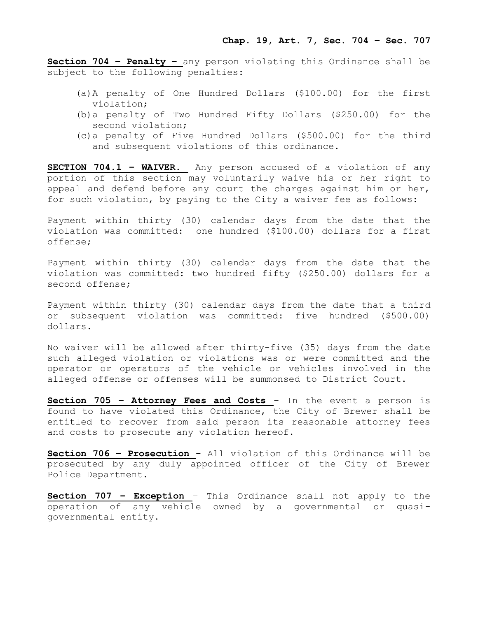**Section 704 – Penalty –** any person violating this Ordinance shall be subject to the following penalties:

- (a)A penalty of One Hundred Dollars (\$100.00) for the first violation;
- (b)a penalty of Two Hundred Fifty Dollars (\$250.00) for the second violation;
- (c)a penalty of Five Hundred Dollars (\$500.00) for the third and subsequent violations of this ordinance.

**SECTION 704.1 – WAIVER.** Any person accused of a violation of any portion of this section may voluntarily waive his or her right to appeal and defend before any court the charges against him or her, for such violation, by paying to the City a waiver fee as follows:

Payment within thirty (30) calendar days from the date that the violation was committed: one hundred (\$100.00) dollars for a first offense;

Payment within thirty (30) calendar days from the date that the violation was committed: two hundred fifty (\$250.00) dollars for a second offense;

Payment within thirty (30) calendar days from the date that a third or subsequent violation was committed: five hundred (\$500.00) dollars.

No waiver will be allowed after thirty-five (35) days from the date such alleged violation or violations was or were committed and the operator or operators of the vehicle or vehicles involved in the alleged offense or offenses will be summonsed to District Court.

**Section 705 – Attorney Fees and Costs** – In the event a person is found to have violated this Ordinance, the City of Brewer shall be entitled to recover from said person its reasonable attorney fees and costs to prosecute any violation hereof.

**Section 706 – Prosecution** – All violation of this Ordinance will be prosecuted by any duly appointed officer of the City of Brewer Police Department.

**Section 707 – Exception** – This Ordinance shall not apply to the operation of any vehicle owned by a governmental or quasigovernmental entity.